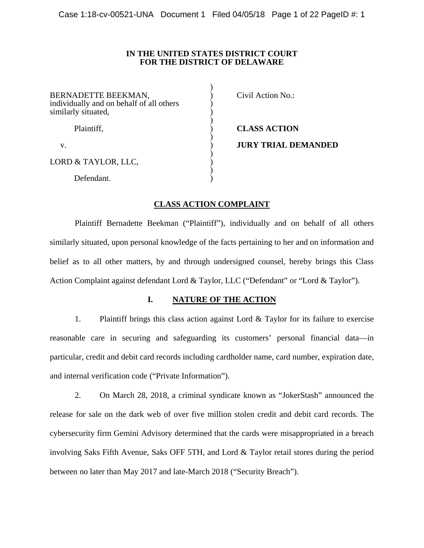### **IN THE UNITED STATES DISTRICT COURT FOR THE DISTRICT OF DELAWARE**

 $\lambda$ 

| BERNADETTE BEEKMAN,<br>individually and on behalf of all others<br>similarly situated, | Civil Action No.:          |
|----------------------------------------------------------------------------------------|----------------------------|
| Plaintiff,                                                                             | <b>CLASS ACTION</b>        |
| V.                                                                                     | <b>JURY TRIAL DEMANDED</b> |
| LORD & TAYLOR, LLC,                                                                    |                            |
| Defendant.                                                                             |                            |

## **CLASS ACTION COMPLAINT**

 Plaintiff Bernadette Beekman ("Plaintiff"), individually and on behalf of all others similarly situated, upon personal knowledge of the facts pertaining to her and on information and belief as to all other matters, by and through undersigned counsel, hereby brings this Class Action Complaint against defendant Lord & Taylor, LLC ("Defendant" or "Lord & Taylor").

## **I. NATURE OF THE ACTION**

1. Plaintiff brings this class action against Lord & Taylor for its failure to exercise reasonable care in securing and safeguarding its customers' personal financial data—in particular, credit and debit card records including cardholder name, card number, expiration date, and internal verification code ("Private Information").

2. On March 28, 2018, a criminal syndicate known as "JokerStash" announced the release for sale on the dark web of over five million stolen credit and debit card records. The cybersecurity firm Gemini Advisory determined that the cards were misappropriated in a breach involving Saks Fifth Avenue, Saks OFF 5TH, and Lord & Taylor retail stores during the period between no later than May 2017 and late-March 2018 ("Security Breach").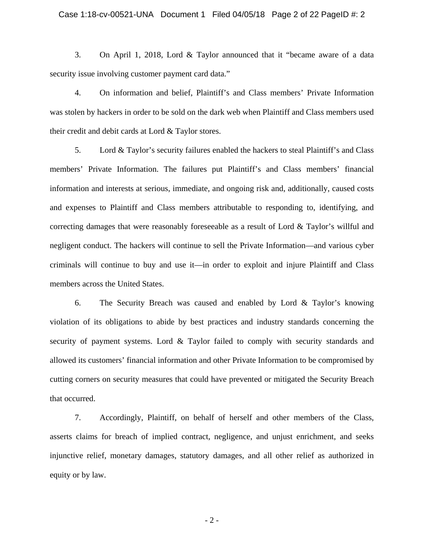#### Case 1:18-cv-00521-UNA Document 1 Filed 04/05/18 Page 2 of 22 PageID #: 2

3. On April 1, 2018, Lord & Taylor announced that it "became aware of a data security issue involving customer payment card data."

4. On information and belief, Plaintiff's and Class members' Private Information was stolen by hackers in order to be sold on the dark web when Plaintiff and Class members used their credit and debit cards at Lord & Taylor stores.

5. Lord & Taylor's security failures enabled the hackers to steal Plaintiff's and Class members' Private Information. The failures put Plaintiff's and Class members' financial information and interests at serious, immediate, and ongoing risk and, additionally, caused costs and expenses to Plaintiff and Class members attributable to responding to, identifying, and correcting damages that were reasonably foreseeable as a result of Lord & Taylor's willful and negligent conduct. The hackers will continue to sell the Private Information—and various cyber criminals will continue to buy and use it—in order to exploit and injure Plaintiff and Class members across the United States.

6. The Security Breach was caused and enabled by Lord & Taylor's knowing violation of its obligations to abide by best practices and industry standards concerning the security of payment systems. Lord & Taylor failed to comply with security standards and allowed its customers' financial information and other Private Information to be compromised by cutting corners on security measures that could have prevented or mitigated the Security Breach that occurred.

7. Accordingly, Plaintiff, on behalf of herself and other members of the Class, asserts claims for breach of implied contract, negligence, and unjust enrichment, and seeks injunctive relief, monetary damages, statutory damages, and all other relief as authorized in equity or by law.

- 2 -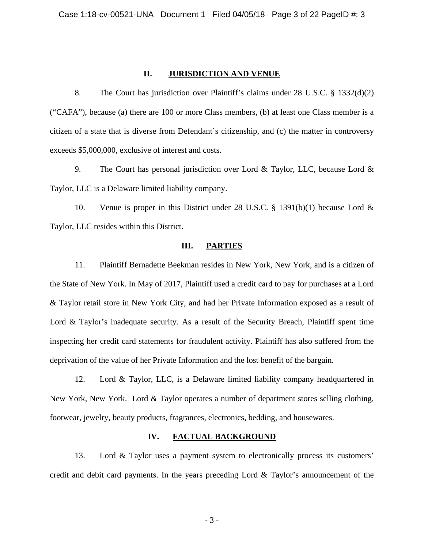### **II. JURISDICTION AND VENUE**

8. The Court has jurisdiction over Plaintiff's claims under 28 U.S.C. § 1332(d)(2) ("CAFA"), because (a) there are 100 or more Class members, (b) at least one Class member is a citizen of a state that is diverse from Defendant's citizenship, and (c) the matter in controversy exceeds \$5,000,000, exclusive of interest and costs.

9. The Court has personal jurisdiction over Lord & Taylor, LLC, because Lord & Taylor, LLC is a Delaware limited liability company.

10. Venue is proper in this District under 28 U.S.C. § 1391(b)(1) because Lord & Taylor, LLC resides within this District.

### **III. PARTIES**

11. Plaintiff Bernadette Beekman resides in New York, New York, and is a citizen of the State of New York. In May of 2017, Plaintiff used a credit card to pay for purchases at a Lord & Taylor retail store in New York City, and had her Private Information exposed as a result of Lord & Taylor's inadequate security. As a result of the Security Breach, Plaintiff spent time inspecting her credit card statements for fraudulent activity. Plaintiff has also suffered from the deprivation of the value of her Private Information and the lost benefit of the bargain.

12. Lord & Taylor, LLC, is a Delaware limited liability company headquartered in New York, New York. Lord & Taylor operates a number of department stores selling clothing, footwear, jewelry, beauty products, fragrances, electronics, bedding, and housewares.

### **IV. FACTUAL BACKGROUND**

13. Lord & Taylor uses a payment system to electronically process its customers' credit and debit card payments. In the years preceding Lord & Taylor's announcement of the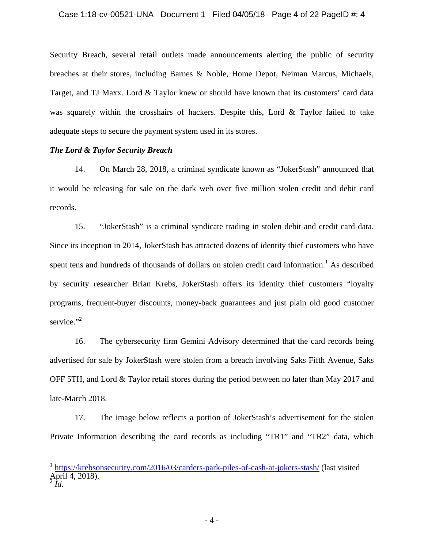Security Breach, several retail outlets made announcements alerting the public of security breaches at their stores, including Barnes & Noble, Home Depot, Neiman Marcus, Michaels, Target, and TJ Maxx. Lord & Taylor knew or should have known that its customers' card data was squarely within the crosshairs of hackers. Despite this, Lord & Taylor failed to take adequate steps to secure the payment system used in its stores.

## *The Lord & Taylor Security Breach*

14. On March 28, 2018, a criminal syndicate known as "JokerStash" announced that it would be releasing for sale on the dark web over five million stolen credit and debit card records.

15. "JokerStash" is a criminal syndicate trading in stolen debit and credit card data. Since its inception in 2014, JokerStash has attracted dozens of identity thief customers who have spent tens and hundreds of thousands of dollars on stolen credit card information.<sup>1</sup> As described by security researcher Brian Krebs, JokerStash offers its identity thief customers "loyalty programs, frequent-buyer discounts, money-back guarantees and just plain old good customer service."<sup>2</sup>

16. The cybersecurity firm Gemini Advisory determined that the card records being advertised for sale by JokerStash were stolen from a breach involving Saks Fifth Avenue, Saks OFF 5TH, and Lord & Taylor retail stores during the period between no later than May 2017 and late-March 2018.

17. The image below reflects a portion of JokerStash's advertisement for the stolen Private Information describing the card records as including "TR1" and "TR2" data, which

 $\frac{1}{4}$ 

https://krebsonsecurity.com/2016/03/carders-park-piles-of-cash-at-jokers-stash/ (last visited April 4, 2018).

 $^{2}$ *Id.*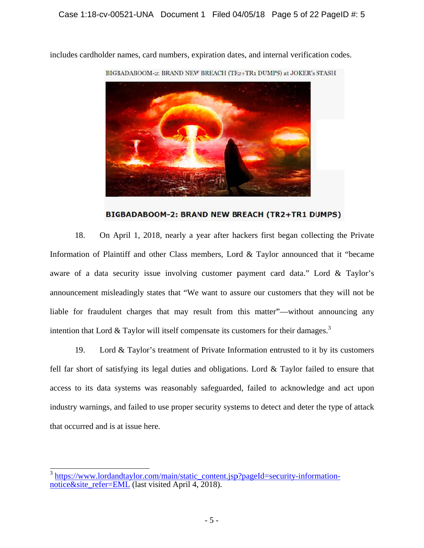

includes cardholder names, card numbers, expiration dates, and internal verification codes.

BIGBADABOOM-2: BRAND NEW BREACH (TR2+TR1 DUMPS)

18. Information of Plaintiff and other Class members, Lord & Taylor announced that it "became aware of a data security issue involving customer payment card data." Lord & Taylor's announcement misleadingly states that "We want to assure our customers that they will not be liable for fraudulent charges that may result from this matter"—without announcing any intention that Lord & Taylor will itself compensate its customers for their damages.<sup>3</sup> 8. On April 1, 2018, nearly a year after hackers first began collecting the Private

19. fell far short of satisfying its legal duties and obligations. Lord  $&$  Taylor failed to ensure that access to its data systems was reasonably safeguarded, failed to acknowledge and act upon industry warnings, and failed to use proper security systems to detect and deter the type of attack that occurred and is at issue here. 9. Lord & Taylor's treatment of Private Information entrusted to it by its customers

 $\overline{a}$ <sup>3</sup> https://www.lordandtaylor.com/main/static\_content.jsp?pageId=security-informationnotice&site\_refer=EML (last visited April 4, 2018).  $\overline{a}$  $\overline{a}$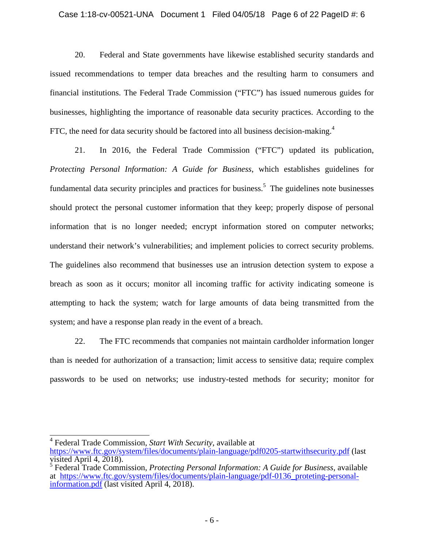### Case 1:18-cv-00521-UNA Document 1 Filed 04/05/18 Page 6 of 22 PageID #: 6

20. Federal and State governments have likewise established security standards and issued recommendations to temper data breaches and the resulting harm to consumers and financial institutions. The Federal Trade Commission ("FTC") has issued numerous guides for businesses, highlighting the importance of reasonable data security practices. According to the FTC, the need for data security should be factored into all business decision-making. $4$ 

21. In 2016, the Federal Trade Commission ("FTC") updated its publication, *Protecting Personal Information: A Guide for Business*, which establishes guidelines for fundamental data security principles and practices for business.<sup>5</sup> The guidelines note businesses should protect the personal customer information that they keep; properly dispose of personal information that is no longer needed; encrypt information stored on computer networks; understand their network's vulnerabilities; and implement policies to correct security problems. The guidelines also recommend that businesses use an intrusion detection system to expose a breach as soon as it occurs; monitor all incoming traffic for activity indicating someone is attempting to hack the system; watch for large amounts of data being transmitted from the system; and have a response plan ready in the event of a breach.

22. The FTC recommends that companies not maintain cardholder information longer than is needed for authorization of a transaction; limit access to sensitive data; require complex passwords to be used on networks; use industry-tested methods for security; monitor for

 4 Federal Trade Commission, *Start With Security*, available at https://www.ftc.gov/system/files/documents/plain-language/pdf0205-startwithsecurity.pdf (last visited April 4, 2018).

<sup>5</sup> Federal Trade Commission, *Protecting Personal Information: A Guide for Business*, available at https://www.ftc.gov/system/files/documents/plain-language/pdf-0136 proteting-personalinformation.pdf (last visited April 4, 2018).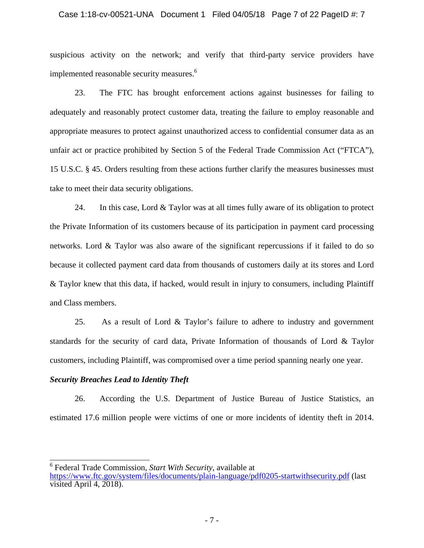### Case 1:18-cv-00521-UNA Document 1 Filed 04/05/18 Page 7 of 22 PageID #: 7

suspicious activity on the network; and verify that third-party service providers have implemented reasonable security measures.<sup>6</sup>

23. The FTC has brought enforcement actions against businesses for failing to adequately and reasonably protect customer data, treating the failure to employ reasonable and appropriate measures to protect against unauthorized access to confidential consumer data as an unfair act or practice prohibited by Section 5 of the Federal Trade Commission Act ("FTCA"), 15 U.S.C. § 45. Orders resulting from these actions further clarify the measures businesses must take to meet their data security obligations.

24. In this case, Lord & Taylor was at all times fully aware of its obligation to protect the Private Information of its customers because of its participation in payment card processing networks. Lord & Taylor was also aware of the significant repercussions if it failed to do so because it collected payment card data from thousands of customers daily at its stores and Lord & Taylor knew that this data, if hacked, would result in injury to consumers, including Plaintiff and Class members.

25. As a result of Lord & Taylor's failure to adhere to industry and government standards for the security of card data, Private Information of thousands of Lord & Taylor customers, including Plaintiff, was compromised over a time period spanning nearly one year.

### *Security Breaches Lead to Identity Theft*

 $\overline{\phantom{a}}$ 

26. According the U.S. Department of Justice Bureau of Justice Statistics, an estimated 17.6 million people were victims of one or more incidents of identity theft in 2014.

<sup>6</sup> Federal Trade Commission, *Start With Security*, available at https://www.ftc.gov/system/files/documents/plain-language/pdf0205-startwithsecurity.pdf (last visited April 4, 2018).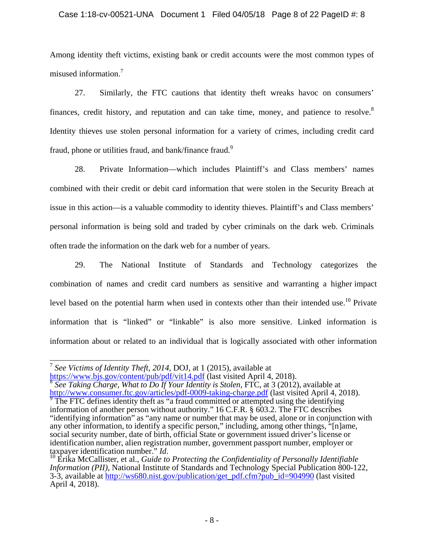## Case 1:18-cv-00521-UNA Document 1 Filed 04/05/18 Page 8 of 22 PageID #: 8

Among identity theft victims, existing bank or credit accounts were the most common types of misused information.7

27. Similarly, the FTC cautions that identity theft wreaks havoc on consumers' finances, credit history, and reputation and can take time, money, and patience to resolve.<sup>8</sup> Identity thieves use stolen personal information for a variety of crimes, including credit card fraud, phone or utilities fraud, and bank/finance fraud.<sup>9</sup>

28. Private Information—which includes Plaintiff's and Class members' names combined with their credit or debit card information that were stolen in the Security Breach at issue in this action—is a valuable commodity to identity thieves. Plaintiff's and Class members' personal information is being sold and traded by cyber criminals on the dark web. Criminals often trade the information on the dark web for a number of years.

29. The National Institute of Standards and Technology categorizes the combination of names and credit card numbers as sensitive and warranting a higher impact level based on the potential harm when used in contexts other than their intended use.<sup>10</sup> Private information that is "linked" or "linkable" is also more sensitive. Linked information is information about or related to an individual that is logically associated with other information

https://www.bjs.gov/content/pub/pdf/vit14.pdf (last visited April 4, 2018).<br><sup>8</sup> *See Taking Charge, What to Do If Your Identity is Stolen*, FTC, at 3 (2012), available at <sup>8</sup> http://www.consumer.ftc.gov/articles/pdf-0009-taking-charge.pdf (last visited April 4, 2018).

 $\overline{a}$ <sup>7</sup> *See Victims of Identity Theft, 2014*, DOJ, at 1 (2015), available at

 $\overline{P}$  The FTC defines identity theft as "a fraud committed or attempted using the identifying information of another person without authority." 16 C.F.R. § 603.2. The FTC describes "identifying information" as "any name or number that may be used, alone or in conjunction with any other information, to identify a specific person," including, among other things, "[n]ame, social security number, date of birth, official State or government issued driver's license or identification number, alien registration number, government passport number, employer or taxpayer identification number."  $Id$ .

<sup>&</sup>lt;sup>10</sup> Erika McCallister, et al., *Guide to Protecting the Confidentiality of Personally Identifiable Information (PII)*, National Institute of Standards and Technology Special Publication 800-122, 3-3, available at http://ws680.nist.gov/publication/get\_pdf.cfm?pub\_id=904990 (last visited April 4, 2018).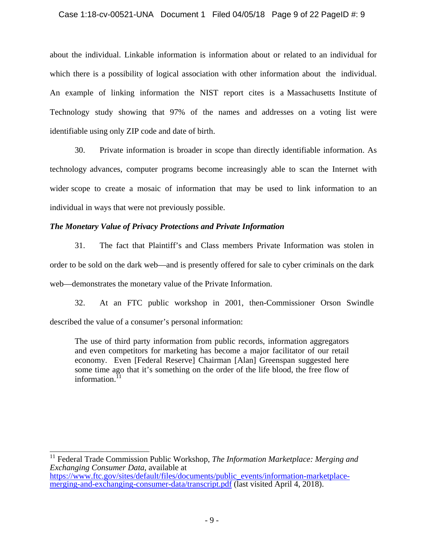## Case 1:18-cv-00521-UNA Document 1 Filed 04/05/18 Page 9 of 22 PageID #: 9

about the individual. Linkable information is information about or related to an individual for which there is a possibility of logical association with other information about the individual. An example of linking information the NIST report cites is a Massachusetts Institute of Technology study showing that 97% of the names and addresses on a voting list were identifiable using only ZIP code and date of birth.

30. Private information is broader in scope than directly identifiable information. As technology advances, computer programs become increasingly able to scan the Internet with wider scope to create a mosaic of information that may be used to link information to an individual in ways that were not previously possible.

## *The Monetary Value of Privacy Protections and Private Information*

31. The fact that Plaintiff's and Class members Private Information was stolen in order to be sold on the dark web—and is presently offered for sale to cyber criminals on the dark web—demonstrates the monetary value of the Private Information.

32. At an FTC public workshop in 2001, then-Commissioner Orson Swindle described the value of a consumer's personal information:

The use of third party information from public records, information aggregators and even competitors for marketing has become a major facilitator of our retail economy. Even [Federal Reserve] Chairman [Alan] Greenspan suggested here some time ago that it's something on the order of the life blood, the free flow of information. $^{11}$ 

 <sup>11</sup> Federal Trade Commission Public Workshop, *The Information Marketplace: Merging and Exchanging Consumer Data*, available at https://www.ftc.gov/sites/default/files/documents/public\_events/information-marketplacemerging-and-exchanging-consumer-data/transcript.pdf (last visited April 4, 2018).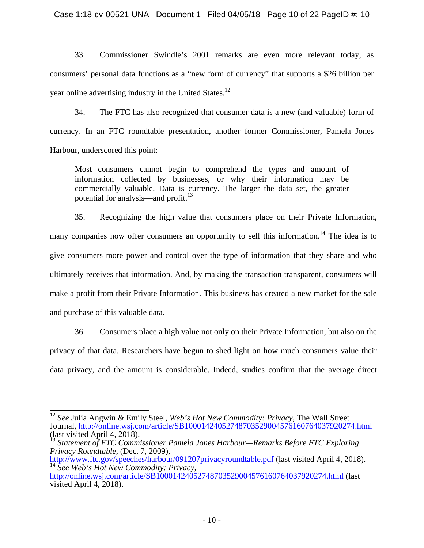Case 1:18-cv-00521-UNA Document 1 Filed 04/05/18 Page 10 of 22 PageID #: 10

33. Commissioner Swindle's 2001 remarks are even more relevant today, as consumers' personal data functions as a "new form of currency" that supports a \$26 billion per year online advertising industry in the United States.<sup>12</sup>

34. The FTC has also recognized that consumer data is a new (and valuable) form of currency. In an FTC roundtable presentation, another former Commissioner, Pamela Jones Harbour, underscored this point:

Most consumers cannot begin to comprehend the types and amount of information collected by businesses, or why their information may be commercially valuable. Data is currency. The larger the data set, the greater potential for analysis—and profit.<sup>13</sup>

35. Recognizing the high value that consumers place on their Private Information, many companies now offer consumers an opportunity to sell this information.<sup>14</sup> The idea is to give consumers more power and control over the type of information that they share and who ultimately receives that information. And, by making the transaction transparent, consumers will make a profit from their Private Information. This business has created a new market for the sale and purchase of this valuable data.

36. Consumers place a high value not only on their Private Information, but also on the privacy of that data. Researchers have begun to shed light on how much consumers value their data privacy, and the amount is considerable. Indeed, studies confirm that the average direct

 <sup>12</sup> *See* Julia Angwin & Emily Steel, *Web's Hot New Commodity: Privacy*, The Wall Street Journal, http://online.wsj.com/article/SB10001424052748703529004576160764037920274.html (last visited April 4, 2018).

<sup>13</sup> *Statement of FTC Commissioner Pamela Jones Harbour—Remarks Before FTC Exploring Privacy Roundtable*, (Dec. 7, 2009),<br>http://www.ftc.gov/speeches/harbour/091207privacyroundtable.pdf (last visited April 4, 2018).

 $\frac{14 \text{ } \text{See Web's Hot New Commonity: Privacy,}}{\text{http://online.wsj.com/article/SB10001424052748703529004576160764037920274.html (last)}}$ 

visited April 4, 2018).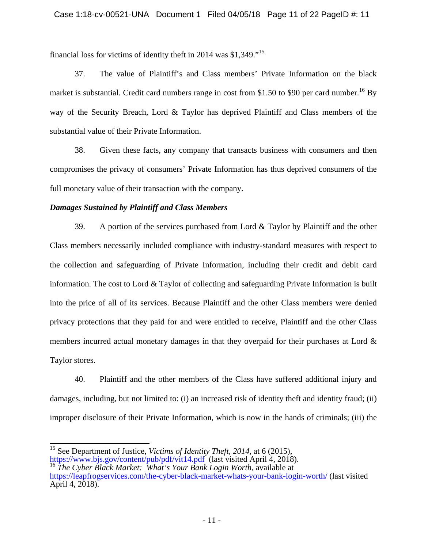financial loss for victims of identity theft in 2014 was \$1,349."15

37. The value of Plaintiff's and Class members' Private Information on the black market is substantial. Credit card numbers range in cost from \$1.50 to \$90 per card number.<sup>16</sup> By way of the Security Breach, Lord & Taylor has deprived Plaintiff and Class members of the substantial value of their Private Information.

38. Given these facts, any company that transacts business with consumers and then compromises the privacy of consumers' Private Information has thus deprived consumers of the full monetary value of their transaction with the company.

## *Damages Sustained by Plaintiff and Class Members*

39. A portion of the services purchased from Lord & Taylor by Plaintiff and the other Class members necessarily included compliance with industry-standard measures with respect to the collection and safeguarding of Private Information, including their credit and debit card information. The cost to Lord & Taylor of collecting and safeguarding Private Information is built into the price of all of its services. Because Plaintiff and the other Class members were denied privacy protections that they paid for and were entitled to receive, Plaintiff and the other Class members incurred actual monetary damages in that they overpaid for their purchases at Lord & Taylor stores.

40. Plaintiff and the other members of the Class have suffered additional injury and damages, including, but not limited to: (i) an increased risk of identity theft and identity fraud; (ii) improper disclosure of their Private Information, which is now in the hands of criminals; (iii) the

 $\frac{1}{4}$ 15 See Department of Justice, *Victims of Identity Theft, 2014*, at 6 (2015), https://www.bjs.gov/content/pub/pdf/vit14.pdf (last visited April 4, 2018). 16 *The Cyber Black Market: What's Your Bank Login Worth*, available at

https://leapfrogservices.com/the-cyber-black-market-whats-your-bank-login-worth/ (last visited April 4, 2018).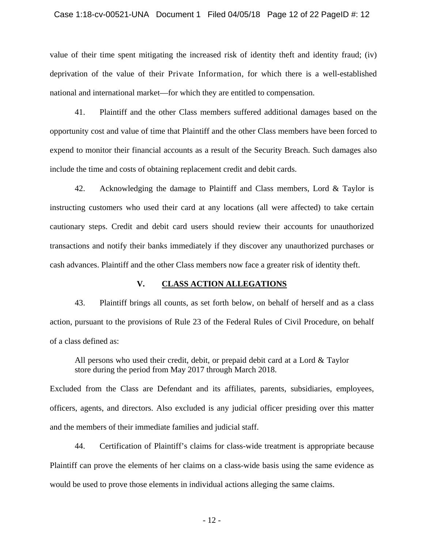#### Case 1:18-cv-00521-UNA Document 1 Filed 04/05/18 Page 12 of 22 PageID #: 12

value of their time spent mitigating the increased risk of identity theft and identity fraud; (iv) deprivation of the value of their Private Information, for which there is a well-established national and international market—for which they are entitled to compensation.

41. Plaintiff and the other Class members suffered additional damages based on the opportunity cost and value of time that Plaintiff and the other Class members have been forced to expend to monitor their financial accounts as a result of the Security Breach. Such damages also include the time and costs of obtaining replacement credit and debit cards.

42. Acknowledging the damage to Plaintiff and Class members, Lord & Taylor is instructing customers who used their card at any locations (all were affected) to take certain cautionary steps. Credit and debit card users should review their accounts for unauthorized transactions and notify their banks immediately if they discover any unauthorized purchases or cash advances. Plaintiff and the other Class members now face a greater risk of identity theft.

### **V. CLASS ACTION ALLEGATIONS**

43. Plaintiff brings all counts, as set forth below, on behalf of herself and as a class action, pursuant to the provisions of Rule 23 of the Federal Rules of Civil Procedure, on behalf of a class defined as:

All persons who used their credit, debit, or prepaid debit card at a Lord  $&$  Taylor store during the period from May 2017 through March 2018.

Excluded from the Class are Defendant and its affiliates, parents, subsidiaries, employees, officers, agents, and directors. Also excluded is any judicial officer presiding over this matter and the members of their immediate families and judicial staff.

44. Certification of Plaintiff's claims for class-wide treatment is appropriate because Plaintiff can prove the elements of her claims on a class-wide basis using the same evidence as would be used to prove those elements in individual actions alleging the same claims.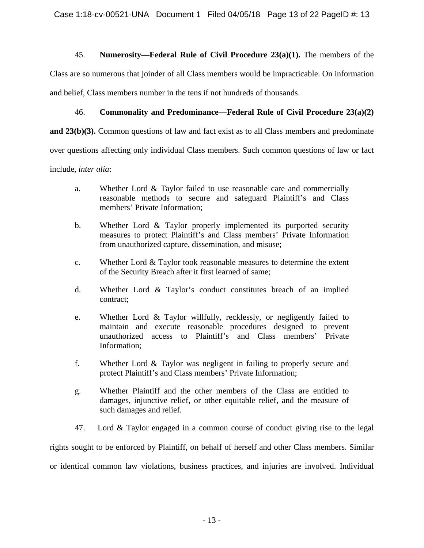## 45. **Numerosity—Federal Rule of Civil Procedure 23(a)(1).** The members of the

Class are so numerous that joinder of all Class members would be impracticable. On information and belief, Class members number in the tens if not hundreds of thousands.

## 46. **Commonality and Predominance—Federal Rule of Civil Procedure 23(a)(2)**

**and 23(b)(3).** Common questions of law and fact exist as to all Class members and predominate

over questions affecting only individual Class members. Such common questions of law or fact

include, *inter alia*:

- a. Whether Lord & Taylor failed to use reasonable care and commercially reasonable methods to secure and safeguard Plaintiff's and Class members' Private Information;
- b. Whether Lord & Taylor properly implemented its purported security measures to protect Plaintiff's and Class members' Private Information from unauthorized capture, dissemination, and misuse;
- c. Whether Lord & Taylor took reasonable measures to determine the extent of the Security Breach after it first learned of same;
- d. Whether Lord & Taylor's conduct constitutes breach of an implied contract;
- e. Whether Lord & Taylor willfully, recklessly, or negligently failed to maintain and execute reasonable procedures designed to prevent unauthorized access to Plaintiff's and Class members' Private Information;
- f. Whether Lord & Taylor was negligent in failing to properly secure and protect Plaintiff's and Class members' Private Information;
- g. Whether Plaintiff and the other members of the Class are entitled to damages, injunctive relief, or other equitable relief, and the measure of such damages and relief.
- 47. Lord & Taylor engaged in a common course of conduct giving rise to the legal

rights sought to be enforced by Plaintiff, on behalf of herself and other Class members. Similar or identical common law violations, business practices, and injuries are involved. Individual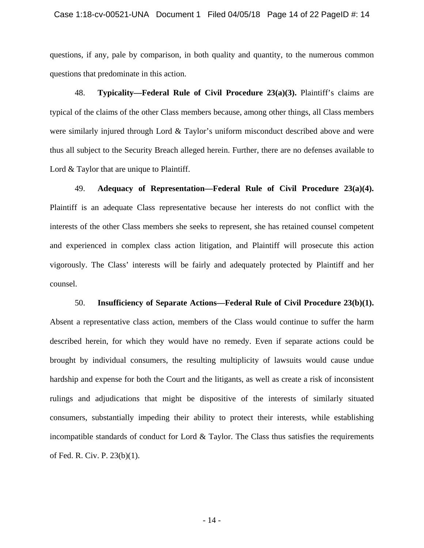questions, if any, pale by comparison, in both quality and quantity, to the numerous common questions that predominate in this action.

48. **Typicality—Federal Rule of Civil Procedure 23(a)(3).** Plaintiff's claims are typical of the claims of the other Class members because, among other things, all Class members were similarly injured through Lord & Taylor's uniform misconduct described above and were thus all subject to the Security Breach alleged herein. Further, there are no defenses available to Lord  $&$  Taylor that are unique to Plaintiff.

49. **Adequacy of Representation—Federal Rule of Civil Procedure 23(a)(4).** Plaintiff is an adequate Class representative because her interests do not conflict with the interests of the other Class members she seeks to represent, she has retained counsel competent and experienced in complex class action litigation, and Plaintiff will prosecute this action vigorously. The Class' interests will be fairly and adequately protected by Plaintiff and her counsel.

50. **Insufficiency of Separate Actions—Federal Rule of Civil Procedure 23(b)(1).** Absent a representative class action, members of the Class would continue to suffer the harm described herein, for which they would have no remedy. Even if separate actions could be brought by individual consumers, the resulting multiplicity of lawsuits would cause undue hardship and expense for both the Court and the litigants, as well as create a risk of inconsistent rulings and adjudications that might be dispositive of the interests of similarly situated consumers, substantially impeding their ability to protect their interests, while establishing incompatible standards of conduct for Lord & Taylor. The Class thus satisfies the requirements of Fed. R. Civ. P. 23(b)(1).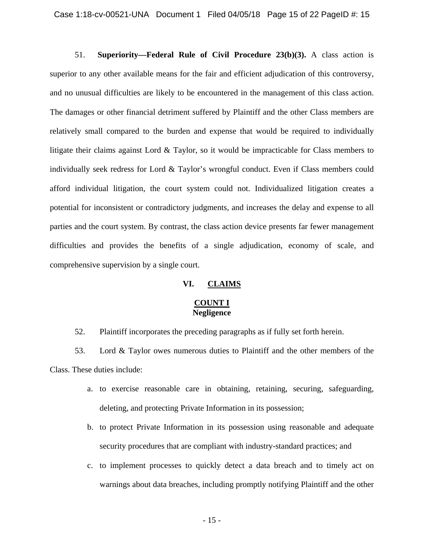51. **Superiority—Federal Rule of Civil Procedure 23(b)(3).** A class action is superior to any other available means for the fair and efficient adjudication of this controversy, and no unusual difficulties are likely to be encountered in the management of this class action. The damages or other financial detriment suffered by Plaintiff and the other Class members are relatively small compared to the burden and expense that would be required to individually litigate their claims against Lord  $\&$  Taylor, so it would be impracticable for Class members to individually seek redress for Lord & Taylor's wrongful conduct. Even if Class members could afford individual litigation, the court system could not. Individualized litigation creates a potential for inconsistent or contradictory judgments, and increases the delay and expense to all parties and the court system. By contrast, the class action device presents far fewer management difficulties and provides the benefits of a single adjudication, economy of scale, and comprehensive supervision by a single court.

## **VI. CLAIMS**

# **COUNT I Negligence**

52. Plaintiff incorporates the preceding paragraphs as if fully set forth herein.

53. Lord & Taylor owes numerous duties to Plaintiff and the other members of the Class. These duties include:

- a. to exercise reasonable care in obtaining, retaining, securing, safeguarding, deleting, and protecting Private Information in its possession;
- b. to protect Private Information in its possession using reasonable and adequate security procedures that are compliant with industry-standard practices; and
- c. to implement processes to quickly detect a data breach and to timely act on warnings about data breaches, including promptly notifying Plaintiff and the other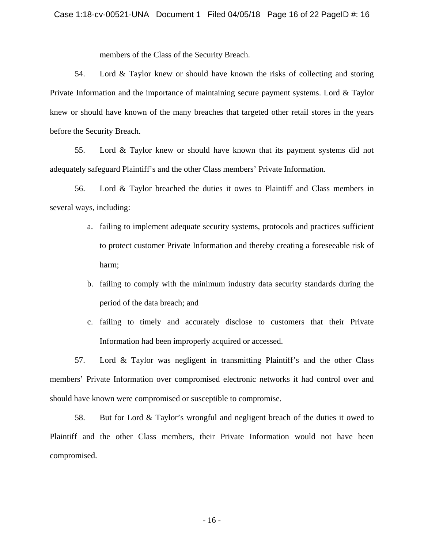members of the Class of the Security Breach.

54. Lord & Taylor knew or should have known the risks of collecting and storing Private Information and the importance of maintaining secure payment systems. Lord & Taylor knew or should have known of the many breaches that targeted other retail stores in the years before the Security Breach.

55. Lord & Taylor knew or should have known that its payment systems did not adequately safeguard Plaintiff's and the other Class members' Private Information.

56. Lord & Taylor breached the duties it owes to Plaintiff and Class members in several ways, including:

- a. failing to implement adequate security systems, protocols and practices sufficient to protect customer Private Information and thereby creating a foreseeable risk of harm;
- b. failing to comply with the minimum industry data security standards during the period of the data breach; and
- c. failing to timely and accurately disclose to customers that their Private Information had been improperly acquired or accessed.

57. Lord & Taylor was negligent in transmitting Plaintiff's and the other Class members' Private Information over compromised electronic networks it had control over and should have known were compromised or susceptible to compromise.

58. But for Lord & Taylor's wrongful and negligent breach of the duties it owed to Plaintiff and the other Class members, their Private Information would not have been compromised.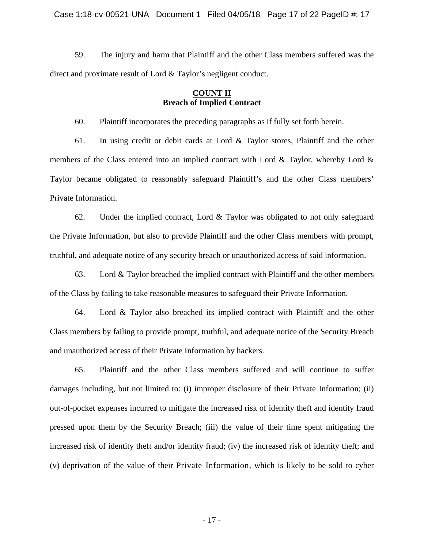59. The injury and harm that Plaintiff and the other Class members suffered was the direct and proximate result of Lord & Taylor's negligent conduct.

## **COUNT II Breach of Implied Contract**

60. Plaintiff incorporates the preceding paragraphs as if fully set forth herein.

61. In using credit or debit cards at Lord & Taylor stores, Plaintiff and the other members of the Class entered into an implied contract with Lord & Taylor, whereby Lord & Taylor became obligated to reasonably safeguard Plaintiff's and the other Class members' Private Information.

62. Under the implied contract, Lord & Taylor was obligated to not only safeguard the Private Information, but also to provide Plaintiff and the other Class members with prompt, truthful, and adequate notice of any security breach or unauthorized access of said information.

63. Lord & Taylor breached the implied contract with Plaintiff and the other members of the Class by failing to take reasonable measures to safeguard their Private Information.

64. Lord & Taylor also breached its implied contract with Plaintiff and the other Class members by failing to provide prompt, truthful, and adequate notice of the Security Breach and unauthorized access of their Private Information by hackers.

65. Plaintiff and the other Class members suffered and will continue to suffer damages including, but not limited to: (i) improper disclosure of their Private Information; (ii) out-of-pocket expenses incurred to mitigate the increased risk of identity theft and identity fraud pressed upon them by the Security Breach; (iii) the value of their time spent mitigating the increased risk of identity theft and/or identity fraud; (iv) the increased risk of identity theft; and (v) deprivation of the value of their Private Information, which is likely to be sold to cyber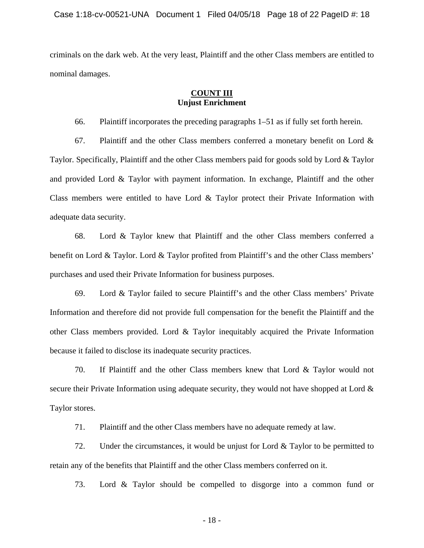criminals on the dark web. At the very least, Plaintiff and the other Class members are entitled to nominal damages.

## **COUNT III Unjust Enrichment**

66. Plaintiff incorporates the preceding paragraphs 1–51 as if fully set forth herein.

67. Plaintiff and the other Class members conferred a monetary benefit on Lord  $\&$ Taylor. Specifically, Plaintiff and the other Class members paid for goods sold by Lord & Taylor and provided Lord & Taylor with payment information. In exchange, Plaintiff and the other Class members were entitled to have Lord & Taylor protect their Private Information with adequate data security.

68. Lord & Taylor knew that Plaintiff and the other Class members conferred a benefit on Lord & Taylor. Lord & Taylor profited from Plaintiff's and the other Class members' purchases and used their Private Information for business purposes.

69. Lord & Taylor failed to secure Plaintiff's and the other Class members' Private Information and therefore did not provide full compensation for the benefit the Plaintiff and the other Class members provided. Lord & Taylor inequitably acquired the Private Information because it failed to disclose its inadequate security practices.

70. If Plaintiff and the other Class members knew that Lord & Taylor would not secure their Private Information using adequate security, they would not have shopped at Lord & Taylor stores.

71. Plaintiff and the other Class members have no adequate remedy at law.

72. Under the circumstances, it would be unjust for Lord & Taylor to be permitted to retain any of the benefits that Plaintiff and the other Class members conferred on it.

73. Lord & Taylor should be compelled to disgorge into a common fund or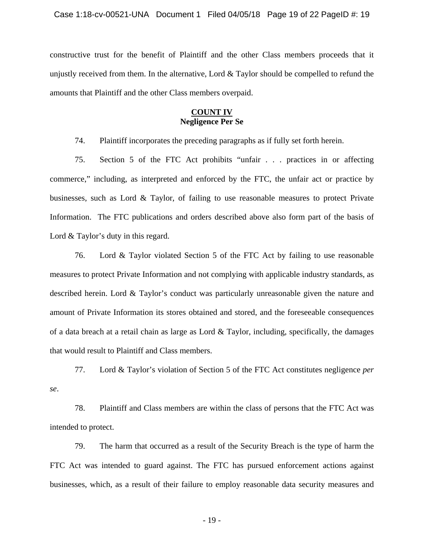constructive trust for the benefit of Plaintiff and the other Class members proceeds that it unjustly received from them. In the alternative, Lord & Taylor should be compelled to refund the amounts that Plaintiff and the other Class members overpaid.

# **COUNT IV Negligence Per Se**

74. Plaintiff incorporates the preceding paragraphs as if fully set forth herein.

75. Section 5 of the FTC Act prohibits "unfair . . . practices in or affecting commerce," including, as interpreted and enforced by the FTC, the unfair act or practice by businesses, such as Lord & Taylor, of failing to use reasonable measures to protect Private Information. The FTC publications and orders described above also form part of the basis of Lord & Taylor's duty in this regard.

76. Lord & Taylor violated Section 5 of the FTC Act by failing to use reasonable measures to protect Private Information and not complying with applicable industry standards, as described herein. Lord & Taylor's conduct was particularly unreasonable given the nature and amount of Private Information its stores obtained and stored, and the foreseeable consequences of a data breach at a retail chain as large as Lord & Taylor, including, specifically, the damages that would result to Plaintiff and Class members.

77. Lord & Taylor's violation of Section 5 of the FTC Act constitutes negligence *per se*.

78. Plaintiff and Class members are within the class of persons that the FTC Act was intended to protect.

79. The harm that occurred as a result of the Security Breach is the type of harm the FTC Act was intended to guard against. The FTC has pursued enforcement actions against businesses, which, as a result of their failure to employ reasonable data security measures and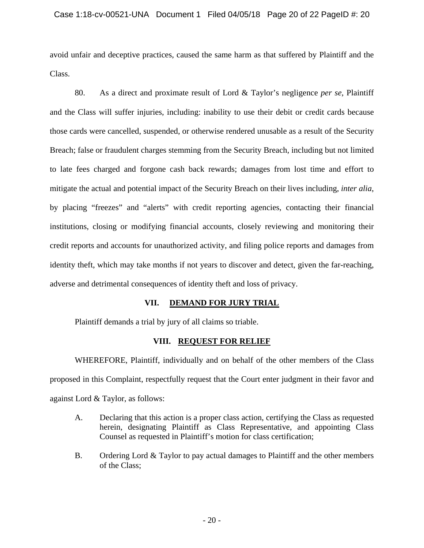avoid unfair and deceptive practices, caused the same harm as that suffered by Plaintiff and the Class.

80. As a direct and proximate result of Lord & Taylor's negligence *per se*, Plaintiff and the Class will suffer injuries, including: inability to use their debit or credit cards because those cards were cancelled, suspended, or otherwise rendered unusable as a result of the Security Breach; false or fraudulent charges stemming from the Security Breach, including but not limited to late fees charged and forgone cash back rewards; damages from lost time and effort to mitigate the actual and potential impact of the Security Breach on their lives including, *inter alia*, by placing "freezes" and "alerts" with credit reporting agencies, contacting their financial institutions, closing or modifying financial accounts, closely reviewing and monitoring their credit reports and accounts for unauthorized activity, and filing police reports and damages from identity theft, which may take months if not years to discover and detect, given the far-reaching, adverse and detrimental consequences of identity theft and loss of privacy.

## **VII. DEMAND FOR JURY TRIAL**

Plaintiff demands a trial by jury of all claims so triable.

## **VIII. REQUEST FOR RELIEF**

WHEREFORE, Plaintiff, individually and on behalf of the other members of the Class proposed in this Complaint, respectfully request that the Court enter judgment in their favor and against Lord & Taylor, as follows:

- A. Declaring that this action is a proper class action, certifying the Class as requested herein, designating Plaintiff as Class Representative, and appointing Class Counsel as requested in Plaintiff's motion for class certification;
- B. Ordering Lord & Taylor to pay actual damages to Plaintiff and the other members of the Class;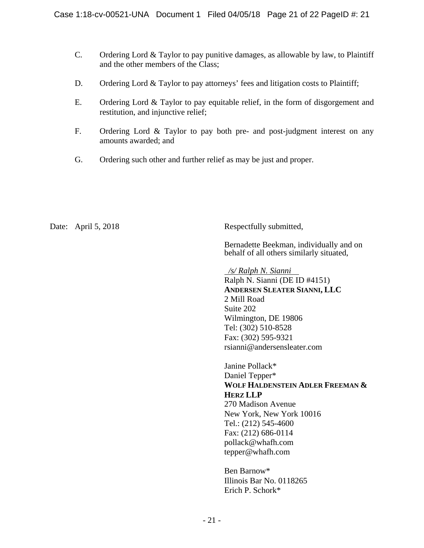- C. Ordering Lord & Taylor to pay punitive damages, as allowable by law, to Plaintiff and the other members of the Class;
- D. Ordering Lord & Taylor to pay attorneys' fees and litigation costs to Plaintiff;
- E. Ordering Lord & Taylor to pay equitable relief, in the form of disgorgement and restitution, and injunctive relief;
- F. Ordering Lord & Taylor to pay both pre- and post-judgment interest on any amounts awarded; and
- G. Ordering such other and further relief as may be just and proper.

Date: April 5, 2018 Respectfully submitted,

Bernadette Beekman, individually and on behalf of all others similarly situated,

 */s/ Ralph N. Sianni*  Ralph N. Sianni (DE ID #4151) **ANDERSEN SLEATER SIANNI, LLC**  2 Mill Road Suite 202 Wilmington, DE 19806 Tel: (302) 510-8528 Fax: (302) 595-9321 rsianni@andersensleater.com

 Janine Pollack\* Daniel Tepper\* **WOLF HALDENSTEIN ADLER FREEMAN & HERZ LLP** 270 Madison Avenue New York, New York 10016 Tel.: (212) 545-4600 Fax: (212) 686-0114 pollack@whafh.com tepper@whafh.com

 Ben Barnow\* Illinois Bar No. 0118265 Erich P. Schork\*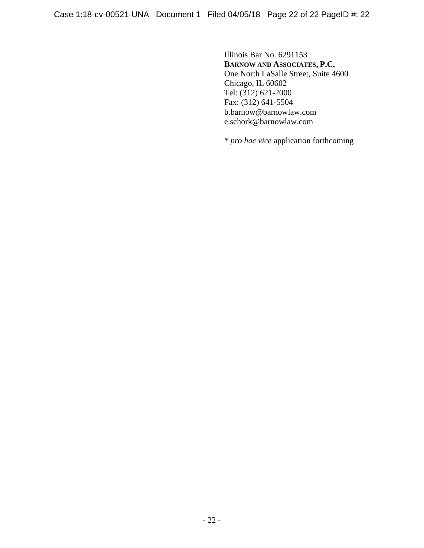Illinois Bar No. 6291153  **BARNOW AND ASSOCIATES, P.C.** One North LaSalle Street, Suite 4600 Chicago, IL 60602 Tel: (312) 621-2000 Fax: (312) 641-5504 b.barnow@barnowlaw.com e.schork@barnowlaw.com

*\* pro hac vice* application forthcoming